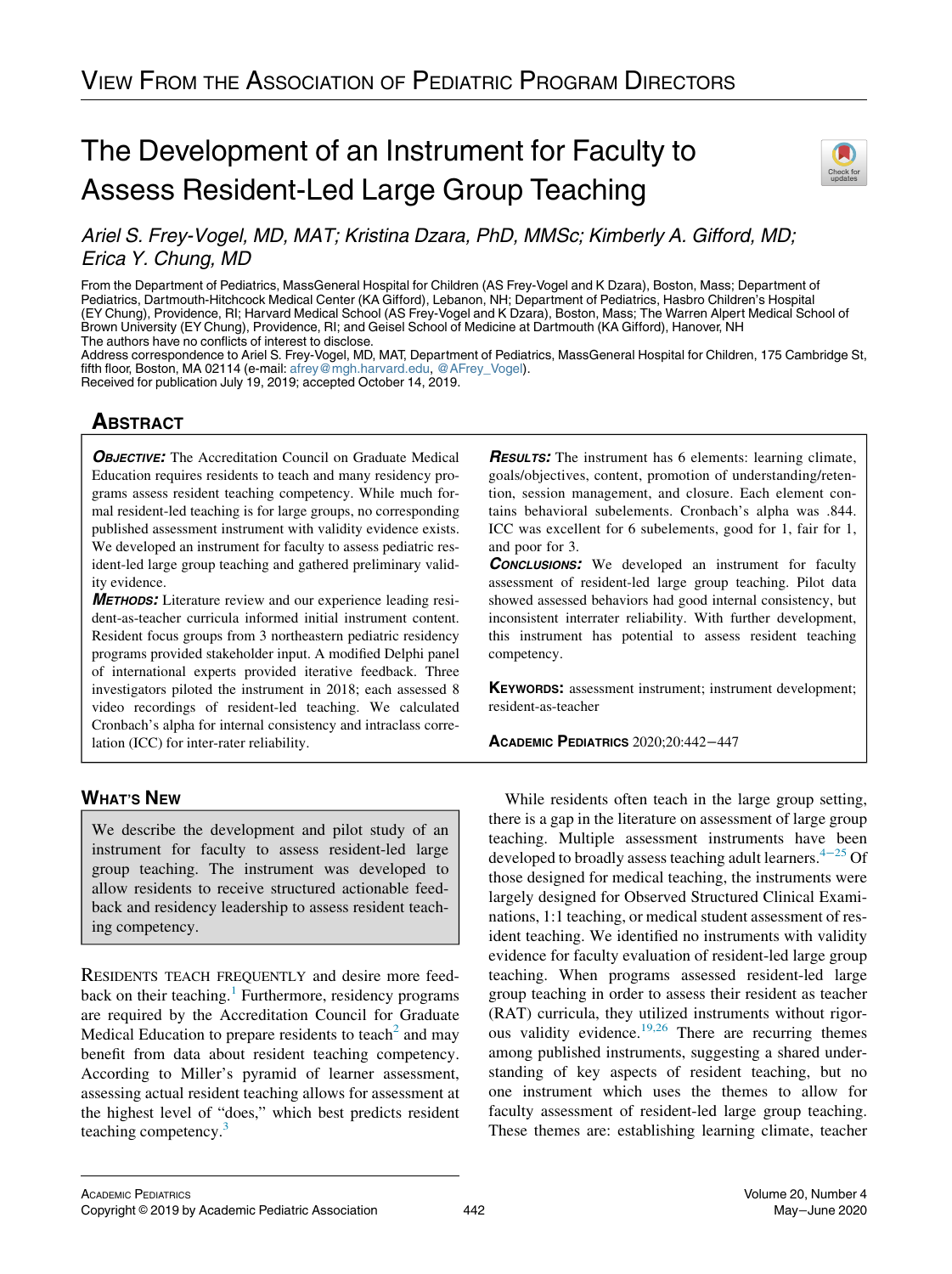## The Development of an Instrument for Faculty to Assess Resident-Led Large Group Teaching



Ariel S. Frey-Vogel, MD, MAT; Kristina Dzara, PhD, MMSc; Kimberly A. Gifford, MD; Erica Y. Chung, MD

From the Department of Pediatrics, MassGeneral Hospital for Children (AS Frey-Vogel and K Dzara), Boston, Mass; Department of Pediatrics, Dartmouth-Hitchcock Medical Center (KA Gifford), Lebanon, NH; Department of Pediatrics, Hasbro Children's Hospital (EY Chung), Providence, RI; Harvard Medical School (AS Frey-Vogel and K Dzara), Boston, Mass; The Warren Alpert Medical School of Brown University (EY Chung), Providence, RI; and Geisel School of Medicine at Dartmouth (KA Gifford), Hanover, NH The authors have no conflicts of interest to disclose.

Address correspondence to Ariel S. Frey-Vogel, MD, MAT, Department of Pediatrics, MassGeneral Hospital for Children, 175 Cambridge St, fifth floor, Boston, MA 02114 (e-mail: [afrey@mgh.harvard.edu](mailto:afrey@mgh.harvard.edu), [@AFrey\\_Vogel](https://twitter.com/AFrey_Vogel)). Received for publication July 19, 2019; accepted October 14, 2019.

# <u>ABSTRACT</u>

**OBJECTIVE:** The Accreditation Council on Graduate Medical Education requires residents to teach and many residency programs assess resident teaching competency. While much formal resident-led teaching is for large groups, no corresponding published assessment instrument with validity evidence exists. We developed an instrument for faculty to assess pediatric resident-led large group teaching and gathered preliminary validity evidence.

METHODS: Literature review and our experience leading resident-as-teacher curricula informed initial instrument content. Resident focus groups from 3 northeastern pediatric residency programs provided stakeholder input. A modified Delphi panel of international experts provided iterative feedback. Three investigators piloted the instrument in 2018; each assessed 8 video recordings of resident-led teaching. We calculated Cronbach's alpha for internal consistency and intraclass correlation (ICC) for inter-rater reliability.

WHAT'S NEWSFILM We describe the development and pilot study of an instrument for faculty to assess resident-led large group teaching. The instrument was developed to allow residents to receive structured actionable feedback and residency leadership to assess resident teaching competency.

RESIDENTS TEACH FREQUENTLY and desire more feed-back on their teaching.<sup>[1](#page-4-0)</sup> Furthermore, residency programs are required by the Accreditation Council for Graduate Medical Education to prepare residents to teach<sup>[2](#page-4-0)</sup> and may benefit from data about resident teaching competency. According to Miller's pyramid of learner assessment, assessing actual resident teaching allows for assessment at the highest level of "does," which best predicts resident teaching competency.<sup>[3](#page-4-0)</sup>

**RESULTS:** The instrument has 6 elements: learning climate, goals/objectives, content, promotion of understanding/retention, session management, and closure. Each element contains behavioral subelements. Cronbach's alpha was .844. ICC was excellent for 6 subelements, good for 1, fair for 1, and poor for 3.

**CONCLUSIONS:** We developed an instrument for faculty assessment of resident-led large group teaching. Pilot data showed assessed behaviors had good internal consistency, but inconsistent interrater reliability. With further development, this instrument has potential to assess resident teaching competency.

KEYWORDS: assessment instrument; instrument development; resident-as-teacher

ACADEMIC PEDIATRICS 2020;20:442−<sup>447</sup>

While residents often teach in the large group setting, there is a gap in the literature on assessment of large group teaching. Multiple assessment instruments have been developed to broadly assess teaching adult learners.<sup>4−[25](#page-4-0)</sup> Of those designed for medical teaching, the instruments were largely designed for Observed Structured Clinical Examinations, 1:1 teaching, or medical student assessment of resident teaching. We identified no instruments with validity evidence for faculty evaluation of resident-led large group teaching. When programs assessed resident-led large group teaching in order to assess their resident as teacher (RAT) curricula, they utilized instruments without rigor-ous validity evidence.<sup>[19,26](#page-4-0)</sup> There are recurring themes among published instruments, suggesting a shared understanding of key aspects of resident teaching, but no one instrument which uses the themes to allow for faculty assessment of resident-led large group teaching. These themes are: establishing learning climate, teacher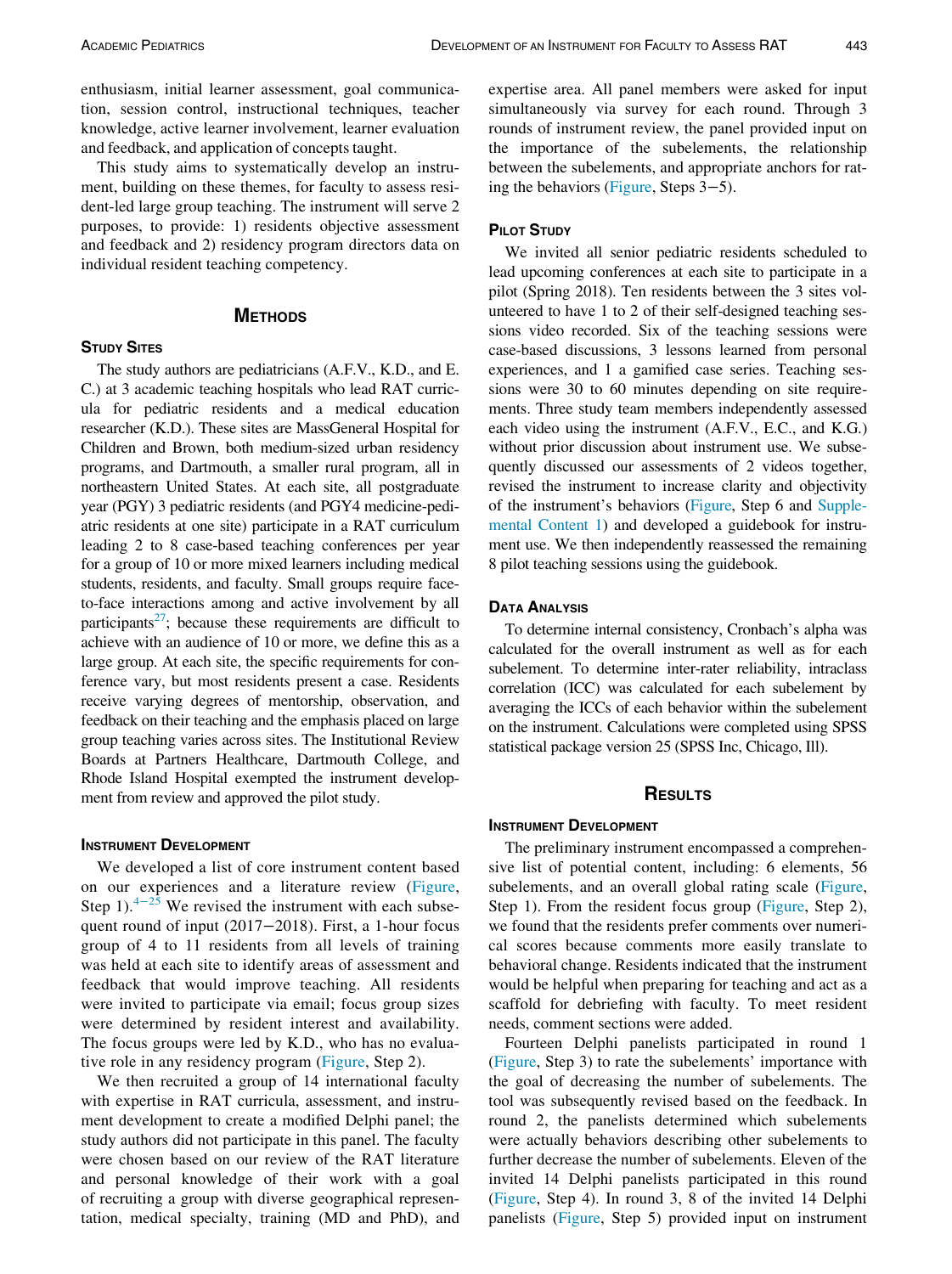enthusiasm, initial learner assessment, goal communication, session control, instructional techniques, teacher knowledge, active learner involvement, learner evaluation and feedback, and application of concepts taught.

This study aims to systematically develop an instrument, building on these themes, for faculty to assess resident-led large group teaching. The instrument will serve 2 purposes, to provide: 1) residents objective assessment and feedback and 2) residency program directors data on individual resident teaching competency.

### **METHODS** METHODS

#### **STUDY SITES**

The study authors are pediatricians (A.F.V., K.D., and E. C.) at 3 academic teaching hospitals who lead RAT curricula for pediatric residents and a medical education researcher (K.D.). These sites are MassGeneral Hospital for Children and Brown, both medium-sized urban residency programs, and Dartmouth, a smaller rural program, all in northeastern United States. At each site, all postgraduate year (PGY) 3 pediatric residents (and PGY4 medicine-pediatric residents at one site) participate in a RAT curriculum leading 2 to 8 case-based teaching conferences per year for a group of 10 or more mixed learners including medical students, residents, and faculty. Small groups require faceto-face interactions among and active involvement by all participants<sup>27</sup>; because these requirements are difficult to achieve with an audience of 10 or more, we define this as a large group. At each site, the specific requirements for conference vary, but most residents present a case. Residents receive varying degrees of mentorship, observation, and feedback on their teaching and the emphasis placed on large group teaching varies across sites. The Institutional Review Boards at Partners Healthcare, Dartmouth College, and Rhode Island Hospital exempted the instrument development from review and approved the pilot study.

We developed a list of core instrument content based on our experiences and a literature review [\(Figure,](#page-2-0) Step 1). $4-25$  $4-25$  We revised the instrument with each subsequent round of input (2017–2018). First, a 1-hour focus group of 4 to 11 residents from all levels of training was held at each site to identify areas of assessment and feedback that would improve teaching. All residents were invited to participate via email; focus group sizes were determined by resident interest and availability. The focus groups were led by K.D., who has no evaluative role in any residency program ([Figure](#page-2-0), Step 2).

We then recruited a group of 14 international faculty with expertise in RAT curricula, assessment, and instrument development to create a modified Delphi panel; the study authors did not participate in this panel. The faculty were chosen based on our review of the RAT literature and personal knowledge of their work with a goal of recruiting a group with diverse geographical representation, medical specialty, training (MD and PhD), and expertise area. All panel members were asked for input simultaneously via survey for each round. Through 3 rounds of instrument review, the panel provided input on the importance of the subelements, the relationship between the subelements, and appropriate anchors for rating the behaviors ([Figure,](#page-2-0) Steps 3−5).

We invited all senior pediatric residents scheduled to lead upcoming conferences at each site to participate in a pilot (Spring 2018). Ten residents between the 3 sites volunteered to have 1 to 2 of their self-designed teaching sessions video recorded. Six of the teaching sessions were case-based discussions, 3 lessons learned from personal experiences, and 1 a gamified case series. Teaching sessions were 30 to 60 minutes depending on site requirements. Three study team members independently assessed each video using the instrument (A.F.V., E.C., and K.G.) without prior discussion about instrument use. We subsequently discussed our assessments of 2 videos together, revised the instrument to increase clarity and objectivity of the instrument's behaviors [\(Figure,](#page-2-0) Step 6 and [Supple](#page-4-0)[mental Content 1](#page-4-0)) and developed a guidebook for instrument use. We then independently reassessed the remaining 8 pilot teaching sessions using the guidebook.

#### **DATA ANALYSIS**

To determine internal consistency, Cronbach's alpha was calculated for the overall instrument as well as for each subelement. To determine inter-rater reliability, intraclass correlation (ICC) was calculated for each subelement by averaging the ICCs of each behavior within the subelement on the instrument. Calculations were completed using SPSS statistical package version 25 (SPSS Inc, Chicago, Ill).

### **RESULTS** RESULTS

The preliminary instrument encompassed a comprehensive list of potential content, including: 6 elements, 56 subelements, and an overall global rating scale [\(Figure,](#page-2-0) Step 1). From the resident focus group ([Figure,](#page-2-0) Step 2), we found that the residents prefer comments over numerical scores because comments more easily translate to behavioral change. Residents indicated that the instrument would be helpful when preparing for teaching and act as a scaffold for debriefing with faculty. To meet resident needs, comment sections were added.

Fourteen Delphi panelists participated in round 1 ([Figure,](#page-2-0) Step 3) to rate the subelements' importance with the goal of decreasing the number of subelements. The tool was subsequently revised based on the feedback. In round 2, the panelists determined which subelements were actually behaviors describing other subelements to further decrease the number of subelements. Eleven of the invited 14 Delphi panelists participated in this round ([Figure,](#page-2-0) Step 4). In round 3, 8 of the invited 14 Delphi panelists [\(Figure](#page-2-0), Step 5) provided input on instrument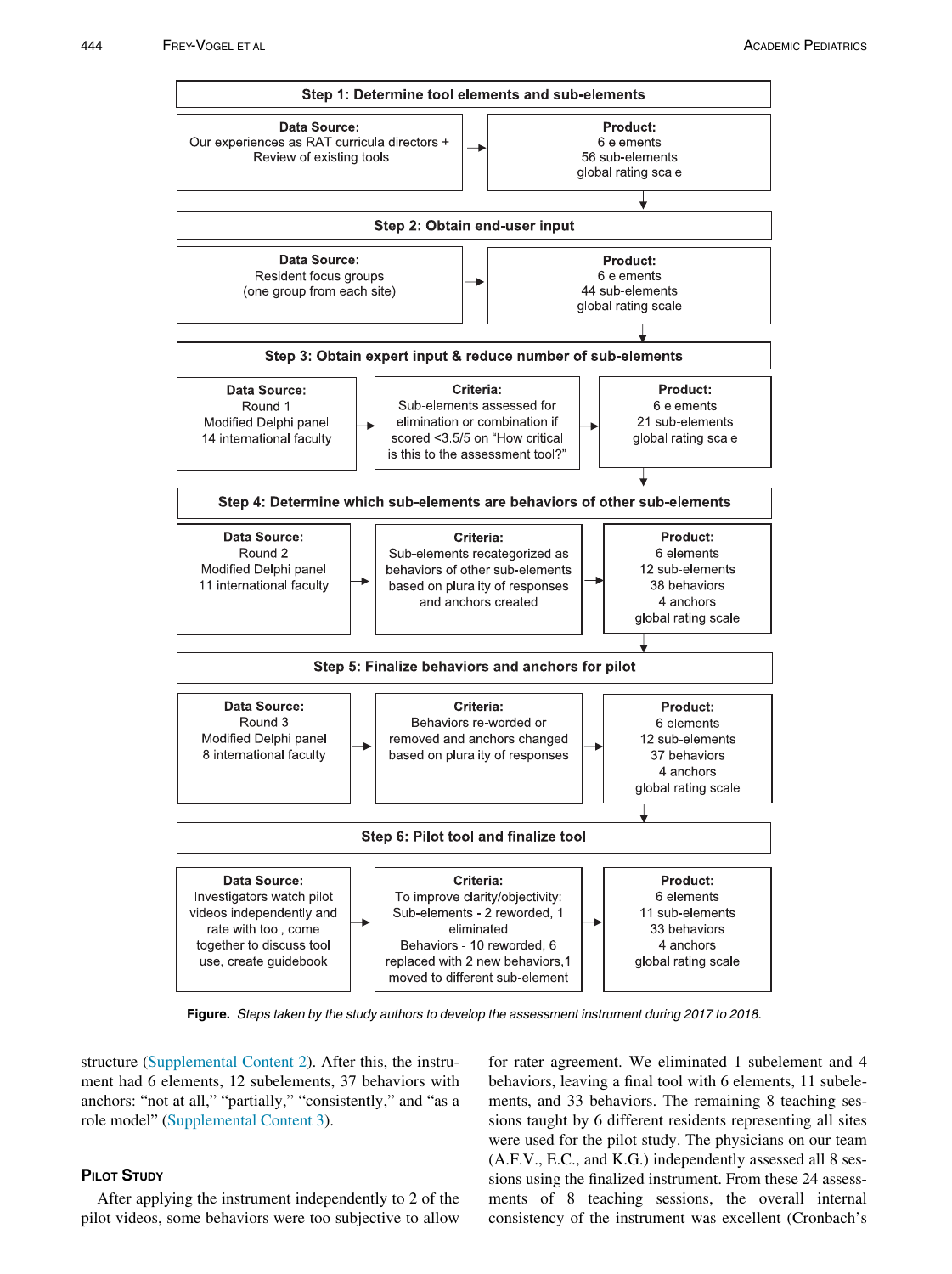<span id="page-2-0"></span>

Figure. Steps taken by the study authors to develop the assessment instrument during 2017 to 2018.

structure [\(Supplemental Content 2\)](#page-4-0). After this, the instrument had 6 elements, 12 subelements, 37 behaviors with anchors: "not at all," "partially," "consistently," and "as a role model" ([Supplemental Content 3](#page-4-0)).

After applying the instrument independently to 2 of the pilot videos, some behaviors were too subjective to allow for rater agreement. We eliminated 1 subelement and 4 behaviors, leaving a final tool with 6 elements, 11 subelements, and 33 behaviors. The remaining 8 teaching sessions taught by 6 different residents representing all sites were used for the pilot study. The physicians on our team (A.F.V., E.C., and K.G.) independently assessed all 8 sessions using the finalized instrument. From these 24 assessments of 8 teaching sessions, the overall internal consistency of the instrument was excellent (Cronbach's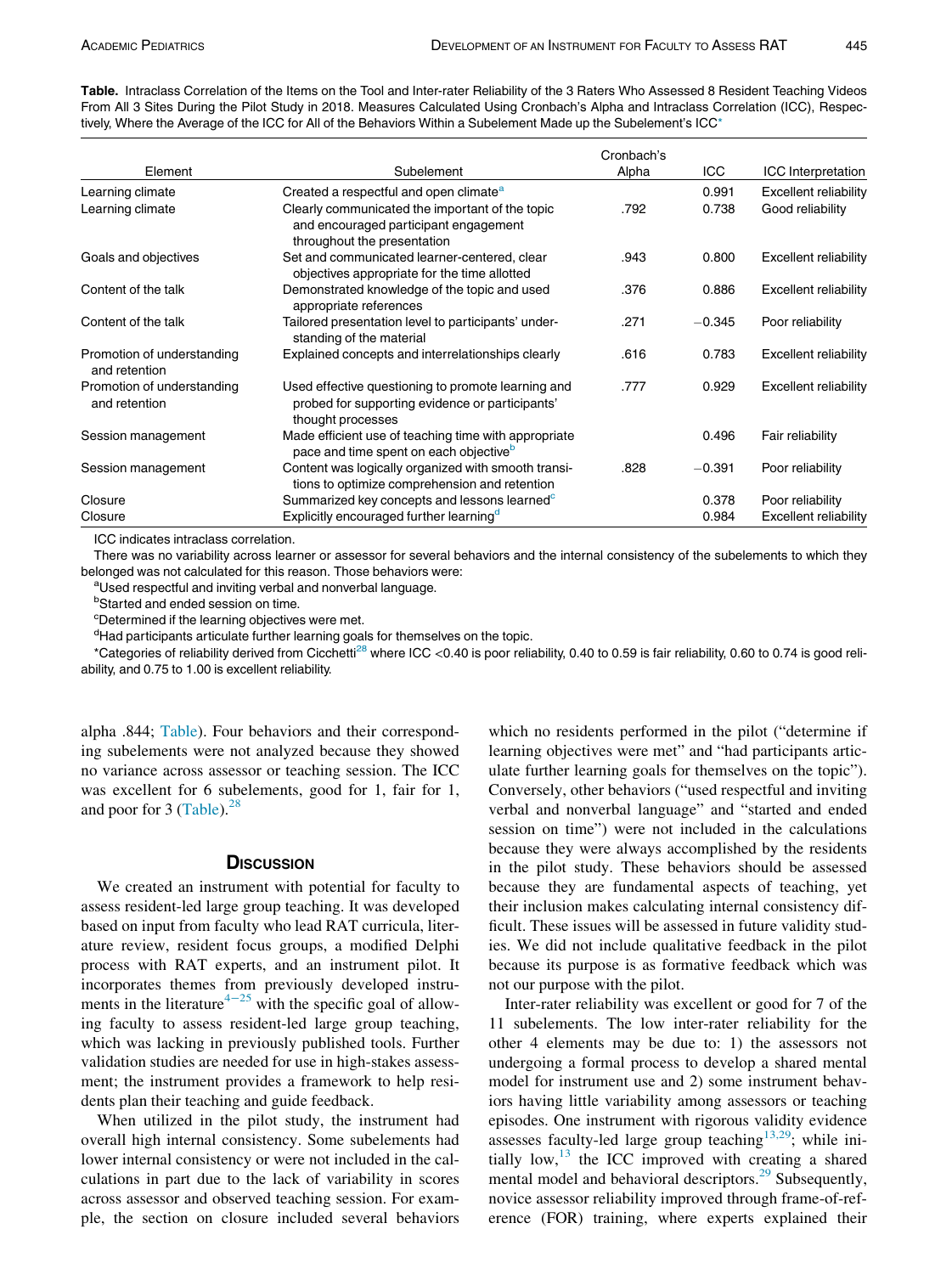Table. Intraclass Correlation of the Items on the Tool and Inter-rater Reliability of the 3 Raters Who Assessed 8 Resident Teaching Videos From All 3 Sites During the Pilot Study in 2018. Measures Calculated Using Cronbach's Alpha and Intraclass Correlation (ICC), Respectively, Where the Average of the ICC for All of the Behaviors Within a Subelement Made up the Subelement's ICC\*

|                                             |                                                                                                                            | Cronbach's |          |                              |
|---------------------------------------------|----------------------------------------------------------------------------------------------------------------------------|------------|----------|------------------------------|
| Element                                     | Subelement                                                                                                                 | Alpha      | ICC      | <b>ICC</b> Interpretation    |
| Learning climate                            | Created a respectful and open climate <sup>a</sup>                                                                         |            | 0.991    | <b>Excellent reliability</b> |
| Learning climate                            | Clearly communicated the important of the topic<br>and encouraged participant engagement<br>throughout the presentation    | .792       | 0.738    | Good reliability             |
| Goals and objectives                        | Set and communicated learner-centered, clear<br>objectives appropriate for the time allotted                               | .943       | 0.800    | <b>Excellent reliability</b> |
| Content of the talk                         | Demonstrated knowledge of the topic and used<br>appropriate references                                                     | .376       | 0.886    | <b>Excellent reliability</b> |
| Content of the talk                         | Tailored presentation level to participants' under-<br>standing of the material                                            | .271       | $-0.345$ | Poor reliability             |
| Promotion of understanding<br>and retention | Explained concepts and interrelationships clearly                                                                          | .616       | 0.783    | <b>Excellent reliability</b> |
| Promotion of understanding<br>and retention | Used effective questioning to promote learning and<br>probed for supporting evidence or participants'<br>thought processes | .777       | 0.929    | <b>Excellent reliability</b> |
| Session management                          | Made efficient use of teaching time with appropriate<br>pace and time spent on each objective <sup>b</sup>                 |            | 0.496    | Fair reliability             |
| Session management                          | Content was logically organized with smooth transi-<br>tions to optimize comprehension and retention                       | .828       | $-0.391$ | Poor reliability             |
| Closure                                     | Summarized key concepts and lessons learned <sup>c</sup>                                                                   |            | 0.378    | Poor reliability             |
| Closure                                     | Explicitly encouraged further learning <sup>d</sup>                                                                        |            | 0.984    | <b>Excellent reliability</b> |

ICC indicates intraclass correlation.

There was no variability across learner or assessor for several behaviors and the internal consistency of the subelements to which they belonged was not calculated for this reason. Those behaviors were:

aUsed respectful and inviting verbal and nonverbal language.

**b**Started and ended session on time.

<sup>c</sup>Determined if the learning objectives were met.

<sup>d</sup>Had participants articulate further learning goals for themselves on the topic.

\*Categories of reliability derived from Cicchetti[28](#page-5-0) where ICC <0.40 is poor reliability, 0.40 to 0.59 is fair reliability, 0.60 to 0.74 is good reliability, and 0.75 to 1.00 is excellent reliability.

alpha .844; Table). Four behaviors and their corresponding subelements were not analyzed because they showed no variance across assessor or teaching session. The ICC was excellent for 6 subelements, good for 1, fair for 1, and poor for 3 (Table). $28$ 

### **DISCUSSION**

We created an instrument with potential for faculty to assess resident-led large group teaching. It was developed based on input from faculty who lead RAT curricula, literature review, resident focus groups, a modified Delphi process with RAT experts, and an instrument pilot. It incorporates themes from previously developed instru-ments in the literature<sup>4-[25](#page-4-0)</sup> with the specific goal of allowing faculty to assess resident-led large group teaching, which was lacking in previously published tools. Further validation studies are needed for use in high-stakes assessment; the instrument provides a framework to help residents plan their teaching and guide feedback.

When utilized in the pilot study, the instrument had overall high internal consistency. Some subelements had lower internal consistency or were not included in the calculations in part due to the lack of variability in scores across assessor and observed teaching session. For example, the section on closure included several behaviors

which no residents performed in the pilot ("determine if learning objectives were met" and "had participants articulate further learning goals for themselves on the topic"). Conversely, other behaviors ("used respectful and inviting verbal and nonverbal language" and "started and ended session on time") were not included in the calculations because they were always accomplished by the residents in the pilot study. These behaviors should be assessed because they are fundamental aspects of teaching, yet their inclusion makes calculating internal consistency difficult. These issues will be assessed in future validity studies. We did not include qualitative feedback in the pilot because its purpose is as formative feedback which was not our purpose with the pilot.

Inter-rater reliability was excellent or good for 7 of the 11 subelements. The low inter-rater reliability for the other 4 elements may be due to: 1) the assessors not undergoing a formal process to develop a shared mental model for instrument use and 2) some instrument behaviors having little variability among assessors or teaching episodes. One instrument with rigorous validity evidence assesses faculty-led large group teaching<sup>[13,29](#page-4-0)</sup>; while initially low, $13$  the ICC improved with creating a shared mental model and behavioral descriptors.<sup>[29](#page-5-0)</sup> Subsequently, novice assessor reliability improved through frame-of-reference (FOR) training, where experts explained their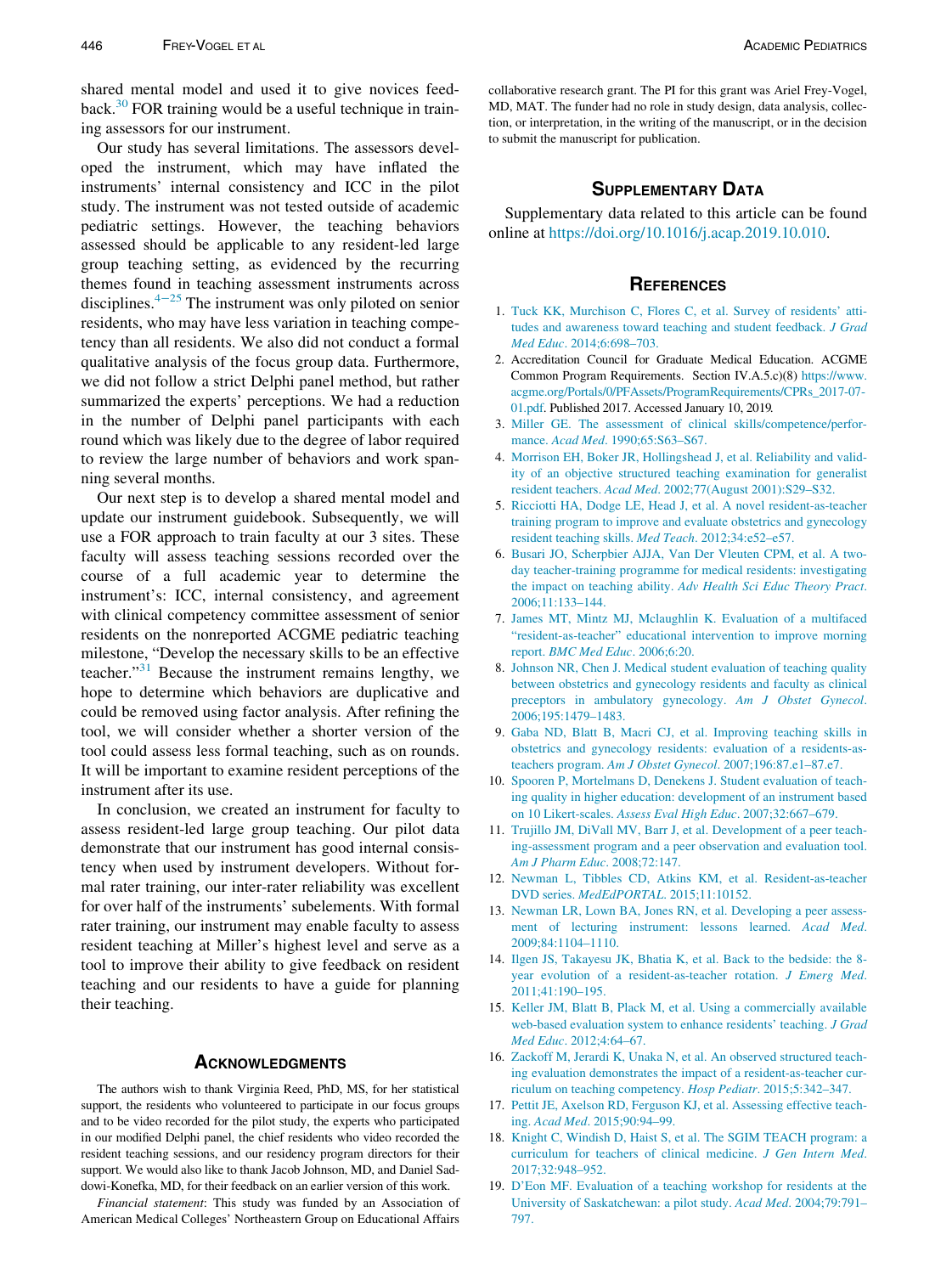<span id="page-4-0"></span>shared mental model and used it to give novices feed-back.<sup>[30](#page-5-0)</sup> FOR training would be a useful technique in training assessors for our instrument.

Our study has several limitations. The assessors developed the instrument, which may have inflated the instruments' internal consistency and ICC in the pilot study. The instrument was not tested outside of academic pediatric settings. However, the teaching behaviors assessed should be applicable to any resident-led large group teaching setting, as evidenced by the recurring themes found in teaching assessment instruments across disciplines.4−<sup>25</sup> The instrument was only piloted on senior residents, who may have less variation in teaching competency than all residents. We also did not conduct a formal qualitative analysis of the focus group data. Furthermore, we did not follow a strict Delphi panel method, but rather summarized the experts' perceptions. We had a reduction in the number of Delphi panel participants with each round which was likely due to the degree of labor required to review the large number of behaviors and work spanning several months.

Our next step is to develop a shared mental model and update our instrument guidebook. Subsequently, we will use a FOR approach to train faculty at our 3 sites. These faculty will assess teaching sessions recorded over the course of a full academic year to determine the instrument's: ICC, internal consistency, and agreement with clinical competency committee assessment of senior residents on the nonreported ACGME pediatric teaching milestone, "Develop the necessary skills to be an effective teacher."<sup>[31](#page-5-0)</sup> Because the instrument remains lengthy, we hope to determine which behaviors are duplicative and could be removed using factor analysis. After refining the tool, we will consider whether a shorter version of the tool could assess less formal teaching, such as on rounds. It will be important to examine resident perceptions of the instrument after its use.

In conclusion, we created an instrument for faculty to assess resident-led large group teaching. Our pilot data demonstrate that our instrument has good internal consistency when used by instrument developers. Without formal rater training, our inter-rater reliability was excellent for over half of the instruments' subelements. With formal rater training, our instrument may enable faculty to assess resident teaching at Miller's highest level and serve as a tool to improve their ability to give feedback on resident teaching and our residents to have a guide for planning their teaching.

### **ACKNOWLEDGMENTS**

The authors wish to thank Virginia Reed, PhD, MS, for her statistical support, the residents who volunteered to participate in our focus groups and to be video recorded for the pilot study, the experts who participated in our modified Delphi panel, the chief residents who video recorded the resident teaching sessions, and our residency program directors for their support. We would also like to thank Jacob Johnson, MD, and Daniel Saddowi-Konefka, MD, for their feedback on an earlier version of this work.

Financial statement: This study was funded by an Association of American Medical Colleges' Northeastern Group on Educational Affairs

collaborative research grant. The PI for this grant was Ariel Frey-Vogel, MD, MAT. The funder had no role in study design, data analysis, collection, or interpretation, in the writing of the manuscript, or in the decision to submit the manuscript for publication.

### **SUPPLEMENTARY DATA**

Supplementary data related to this article can be found online at [https://doi.org/10.1016/j.acap.2019.10.010.](https://doi.org/10.1016/j.acap.2019.10.010)

#### **REFERENCES**

- 1. [Tuck KK, Murchison C, Flores C, et al. Survey of residents](http://refhub.elsevier.com/S1876-2859(19)30436-X/sbref0001)' [atti](http://refhub.elsevier.com/S1876-2859(19)30436-X/sbref0001)[tudes and awareness toward teaching and student feedback.](http://refhub.elsevier.com/S1876-2859(19)30436-X/sbref0001) J Grad Med Educ[. 2014;6:698–703.](http://refhub.elsevier.com/S1876-2859(19)30436-X/sbref0001)
- 2. Accreditation Council for Graduate Medical Education. ACGME Common Program Requirements. Section IV.A.5.c)(8) [https://www.](https://www.acgme.org/Portals/0/PFAssets/ProgramRequirements/CPRs_2017-07-01.pdf) [acgme.org/Portals/0/PFAssets/ProgramRequirements/CPRs\\_2017-07-](https://www.acgme.org/Portals/0/PFAssets/ProgramRequirements/CPRs_2017-07-01.pdf) [01.pdf](https://www.acgme.org/Portals/0/PFAssets/ProgramRequirements/CPRs_2017-07-01.pdf). Published 2017. Accessed January 10, 2019.
- 3. [Miller GE. The assessment of clinical skills/competence/perfor](http://refhub.elsevier.com/S1876-2859(19)30436-X/sbref0003)mance. Acad Med[. 1990;65:S63–S67.](http://refhub.elsevier.com/S1876-2859(19)30436-X/sbref0003)
- 4. [Morrison EH, Boker JR, Hollingshead J, et al. Reliability and valid](http://refhub.elsevier.com/S1876-2859(19)30436-X/sbref0004)[ity of an objective structured teaching examination for generalist](http://refhub.elsevier.com/S1876-2859(19)30436-X/sbref0004) resident teachers. Acad Med[. 2002;77\(August 2001\):S29–S32.](http://refhub.elsevier.com/S1876-2859(19)30436-X/sbref0004)
- 5. [Ricciotti HA, Dodge LE, Head J, et al. A novel resident-as-teacher](http://refhub.elsevier.com/S1876-2859(19)30436-X/sbref0005) [training program to improve and evaluate obstetrics and gynecology](http://refhub.elsevier.com/S1876-2859(19)30436-X/sbref0005) [resident teaching skills.](http://refhub.elsevier.com/S1876-2859(19)30436-X/sbref0005) Med Teach. 2012;34:e52–e57.
- 6. [Busari JO, Scherpbier AJJA, Van Der Vleuten CPM, et al. A two](http://refhub.elsevier.com/S1876-2859(19)30436-X/sbref0006)[day teacher-training programme for medical residents: investigating](http://refhub.elsevier.com/S1876-2859(19)30436-X/sbref0006) the impact on teaching ability. [Adv Health Sci Educ Theory Pract](http://refhub.elsevier.com/S1876-2859(19)30436-X/sbref0006). [2006;11:133–144.](http://refhub.elsevier.com/S1876-2859(19)30436-X/sbref0006)
- 7. [James MT, Mintz MJ, Mclaughlin K. Evaluation of a multifaced](http://refhub.elsevier.com/S1876-2859(19)30436-X/sbref0007) "[resident-as-teacher](http://refhub.elsevier.com/S1876-2859(19)30436-X/sbref0007)" [educational intervention to improve morning](http://refhub.elsevier.com/S1876-2859(19)30436-X/sbref0007) report. [BMC Med Educ](http://refhub.elsevier.com/S1876-2859(19)30436-X/sbref0007). 2006;6:20.
- 8. [Johnson NR, Chen J. Medical student evaluation of teaching quality](http://refhub.elsevier.com/S1876-2859(19)30436-X/sbref0008) [between obstetrics and gynecology residents and faculty as clinical](http://refhub.elsevier.com/S1876-2859(19)30436-X/sbref0008) [preceptors in ambulatory gynecology.](http://refhub.elsevier.com/S1876-2859(19)30436-X/sbref0008) Am J Obstet Gynecol. [2006;195:1479–1483.](http://refhub.elsevier.com/S1876-2859(19)30436-X/sbref0008)
- 9. [Gaba ND, Blatt B, Macri CJ, et al. Improving teaching skills in](http://refhub.elsevier.com/S1876-2859(19)30436-X/sbref0009) [obstetrics and gynecology residents: evaluation of a residents-as](http://refhub.elsevier.com/S1876-2859(19)30436-X/sbref0009)teachers program. Am J Obstet Gynecol[. 2007;196:87.e1–87.e7.](http://refhub.elsevier.com/S1876-2859(19)30436-X/sbref0009)
- 10. [Spooren P, Mortelmans D, Denekens J. Student evaluation of teach](http://refhub.elsevier.com/S1876-2859(19)30436-X/sbref0010)[ing quality in higher education: development of an instrument based](http://refhub.elsevier.com/S1876-2859(19)30436-X/sbref0010) on 10 Likert-scales. [Assess Eval High Educ](http://refhub.elsevier.com/S1876-2859(19)30436-X/sbref0010). 2007;32:667–679.
- 11. [Trujillo JM, DiVall MV, Barr J, et al. Development of a peer teach](http://refhub.elsevier.com/S1876-2859(19)30436-X/sbref0011)[ing-assessment program and a peer observation and evaluation tool.](http://refhub.elsevier.com/S1876-2859(19)30436-X/sbref0011) [Am J Pharm Educ](http://refhub.elsevier.com/S1876-2859(19)30436-X/sbref0011). 2008;72:147.
- 12. [Newman L, Tibbles CD, Atkins KM, et al. Resident-as-teacher](http://refhub.elsevier.com/S1876-2859(19)30436-X/sbref0012) DVD series. MedEdPORTAL[. 2015;11:10152.](http://refhub.elsevier.com/S1876-2859(19)30436-X/sbref0012)
- 13. Newman [LR, Lown BA, Jones RN, et al. Developing a peer assess](http://refhub.elsevier.com/S1876-2859(19)30436-X/sbref0013)[ment of lecturing instrument: lessons learned.](http://refhub.elsevier.com/S1876-2859(19)30436-X/sbref0013) Acad Med. [2009;84:1104–1110.](http://refhub.elsevier.com/S1876-2859(19)30436-X/sbref0013)
- 14. [Ilgen JS, Takayesu JK, Bhatia K, et al. Back to the bedside: the 8](http://refhub.elsevier.com/S1876-2859(19)30436-X/sbref0014) [year evolution of a resident-as-teacher rotation.](http://refhub.elsevier.com/S1876-2859(19)30436-X/sbref0014) J Emerg Med. [2011;41:190–195.](http://refhub.elsevier.com/S1876-2859(19)30436-X/sbref0014)
- 15. [Keller JM, Blatt B, Plack M, et al. Using a commercially available](http://refhub.elsevier.com/S1876-2859(19)30436-X/sbref0015) [web-based evaluation system to enhance residents' teaching.](http://refhub.elsevier.com/S1876-2859(19)30436-X/sbref0015) J Grad Med Educ[. 2012;4:64–67.](http://refhub.elsevier.com/S1876-2859(19)30436-X/sbref0015)
- 16. [Zackoff M, Jerardi K, Unaka N, et al. An observed structured teach](http://refhub.elsevier.com/S1876-2859(19)30436-X/sbref0016)[ing evaluation demonstrates the impact of a resident-as-teacher cur](http://refhub.elsevier.com/S1876-2859(19)30436-X/sbref0016)[riculum on teaching competency.](http://refhub.elsevier.com/S1876-2859(19)30436-X/sbref0016) Hosp Pediatr. 2015;5:342–347.
- 17. [Pettit JE, Axelson RD, Ferguson KJ, et al. Assessing effective teach](http://refhub.elsevier.com/S1876-2859(19)30436-X/sbref0017)ing. Acad Med[. 2015;90:94–99.](http://refhub.elsevier.com/S1876-2859(19)30436-X/sbref0017)
- 18. [Knight C, Windish D, Haist S, et al. The SGIM TEACH program: a](http://refhub.elsevier.com/S1876-2859(19)30436-X/sbref0018) [curriculum for teachers of clinical medicine.](http://refhub.elsevier.com/S1876-2859(19)30436-X/sbref0018) J Gen Intern Med. [2017;32:948–952.](http://refhub.elsevier.com/S1876-2859(19)30436-X/sbref0018)
- 19. [D](http://refhub.elsevier.com/S1876-2859(19)30436-X/sbref0019)'[Eon MF. Evaluation of a teaching workshop for residents at the](http://refhub.elsevier.com/S1876-2859(19)30436-X/sbref0019) [University of Saskatchewan: a pilot study.](http://refhub.elsevier.com/S1876-2859(19)30436-X/sbref0019) Acad Med. 2004;79:791– [797.](http://refhub.elsevier.com/S1876-2859(19)30436-X/sbref0019)